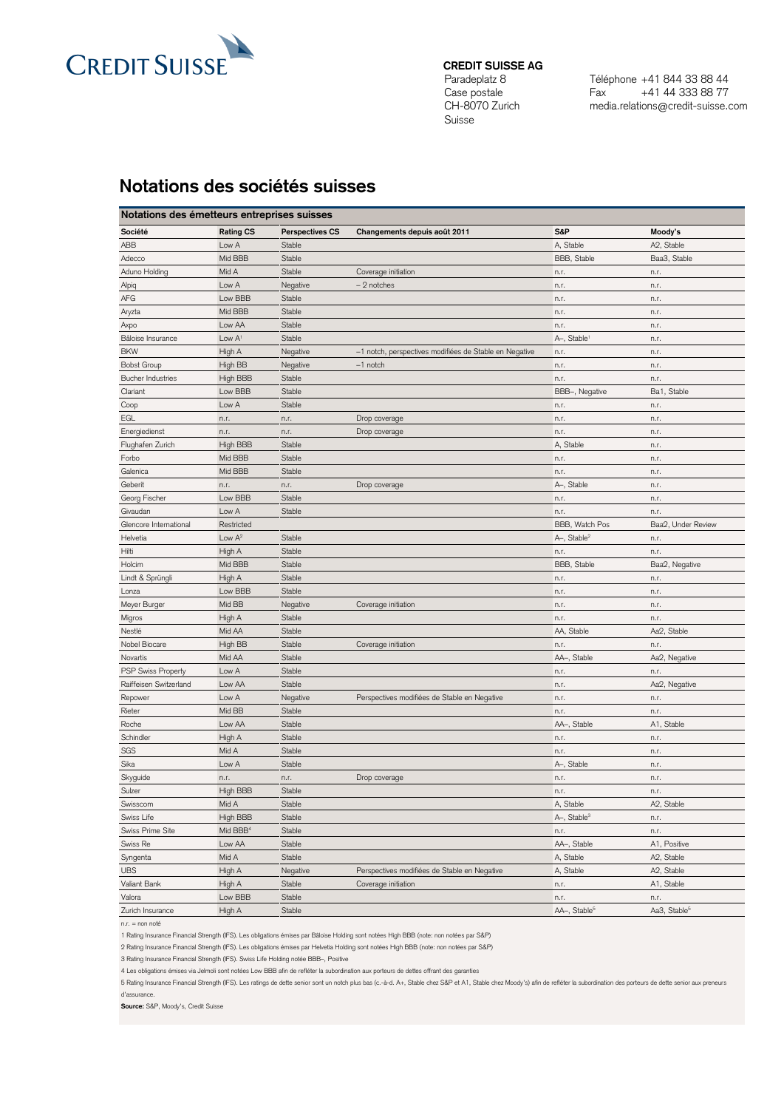

## **CREDIT SUISSE AG**

Paradeplatz 8 Case postale CH-8070 Zurich Suisse

Téléphone +41 844 33 88 44 Fax +41 44 333 88 77 media.relations@credit-suisse.com

## **Notations des sociétés suisses**

| Notations des émetteurs entreprises suisses |                      |                        |                                                        |                          |                          |  |  |  |  |
|---------------------------------------------|----------------------|------------------------|--------------------------------------------------------|--------------------------|--------------------------|--|--|--|--|
| Société                                     | <b>Rating CS</b>     | <b>Perspectives CS</b> | Changements depuis août 2011                           | S&P                      | Moody's                  |  |  |  |  |
| ABB                                         | Low A                | Stable                 |                                                        | A, Stable                | A2, Stable               |  |  |  |  |
| Adecco                                      | Mid BBB              | Stable                 |                                                        | BBB, Stable              | Baa3, Stable             |  |  |  |  |
| Aduno Holding                               | Mid A                | Stable                 | Coverage initiation                                    | n.r.                     | n.r.                     |  |  |  |  |
| Alpiq                                       | Low A                | Negative               | $-2$ notches                                           | n.r.                     | n.r.                     |  |  |  |  |
| AFG                                         | Low BBB              | Stable                 |                                                        | n.r.                     | n.r.                     |  |  |  |  |
| Aryzta                                      | Mid BBB              | Stable                 |                                                        | n.r.                     | n.r.                     |  |  |  |  |
| Axpo                                        | Low AA               | Stable                 |                                                        | n.r.                     | n.r.                     |  |  |  |  |
| Bâloise Insurance                           | Low $A1$             | Stable                 |                                                        | A-, Stable               | n.r.                     |  |  |  |  |
| <b>BKW</b>                                  | High A               | Negative               | -1 notch, perspectives modifiées de Stable en Negative | n.r.                     | n.r.                     |  |  |  |  |
| <b>Bobst Group</b>                          | High BB              | Negative               | $-1$ notch                                             | n.r.                     | n.r.                     |  |  |  |  |
| <b>Bucher Industries</b>                    | High BBB             | Stable                 |                                                        | n.r.                     | n.r.                     |  |  |  |  |
| Clariant                                    | Low BBB              | Stable                 |                                                        | BBB-, Negative           | Ba1, Stable              |  |  |  |  |
| Coop                                        | Low A                | Stable                 |                                                        | n.r.                     | n.r.                     |  |  |  |  |
| EGL                                         | n.r.                 | n.r.                   | Drop coverage                                          | n.r.                     | n.r.                     |  |  |  |  |
| Energiedienst                               | n.r.                 | n.r.                   | Drop coverage                                          | n.r.                     | n.r.                     |  |  |  |  |
| Flughafen Zurich                            | High BBB             | Stable                 |                                                        | A, Stable                | n.r.                     |  |  |  |  |
| Forbo                                       | Mid BBB              | Stable                 |                                                        | n.r.                     | n.r.                     |  |  |  |  |
| Galenica                                    | Mid BBB              | Stable                 |                                                        | n.r.                     | n.r.                     |  |  |  |  |
| Geberit                                     | n.r.                 | n.r.                   | Drop coverage                                          | A-, Stable               | n.r.                     |  |  |  |  |
| Georg Fischer                               | Low BBB              | Stable                 |                                                        | n.r.                     | n.r.                     |  |  |  |  |
| Givaudan                                    | Low A                | Stable                 |                                                        | n.r.                     | n.r.                     |  |  |  |  |
| Glencore International                      | Restricted           |                        |                                                        | BBB, Watch Pos           | Baa2, Under Review       |  |  |  |  |
| Helvetia                                    | Low $A^2$            | Stable                 |                                                        | A-, Stable <sup>2</sup>  | n.r.                     |  |  |  |  |
| Hilti                                       | High A               | Stable                 |                                                        | n.r.                     | n.r.                     |  |  |  |  |
| Holcim                                      | Mid BBB              | Stable                 |                                                        | BBB, Stable              | Baa2, Negative           |  |  |  |  |
| Lindt & Sprüngli                            | High A               | Stable                 |                                                        | n.r.                     | n.r.                     |  |  |  |  |
| Lonza                                       | Low BBB              | Stable                 |                                                        | n.r.                     | n.r.                     |  |  |  |  |
| Meyer Burger                                | Mid BB               | Negative               | Coverage initiation                                    | n.r.                     | n.r.                     |  |  |  |  |
| Migros                                      | High A               | Stable                 |                                                        | n.r.                     | n.r.                     |  |  |  |  |
| Nestlé                                      | Mid AA               | Stable                 |                                                        | AA, Stable               | Aa2, Stable              |  |  |  |  |
| Nobel Biocare                               | High BB              | Stable                 | Coverage initiation                                    | n.r.                     | n.r.                     |  |  |  |  |
| Novartis                                    | Mid AA               | Stable                 |                                                        | AA-, Stable              | Aa2, Negative            |  |  |  |  |
| <b>PSP Swiss Property</b>                   | Low A                | Stable                 |                                                        | n.r.                     | n.r.                     |  |  |  |  |
| Raiffeisen Switzerland                      | Low AA               | Stable                 |                                                        | n.r.                     | Aa2, Negative            |  |  |  |  |
| Repower                                     | Low A                | Negative               | Perspectives modifiées de Stable en Negative           | n.r.                     | n.r.                     |  |  |  |  |
| Rieter                                      | Mid BB               | Stable                 |                                                        | n.r.                     | n.r.                     |  |  |  |  |
| Roche                                       | Low AA               | Stable                 |                                                        | AA-, Stable              | A1, Stable               |  |  |  |  |
| Schindler                                   | High A               | Stable                 |                                                        | n.r.                     | n.r.                     |  |  |  |  |
| SGS                                         | Mid A                | Stable                 |                                                        | n.r.                     | n.r.                     |  |  |  |  |
| Sika                                        | Low A                | Stable                 |                                                        | A-, Stable               | n.r.                     |  |  |  |  |
| Skyguide                                    | n.r.                 | n.r.                   | Drop coverage                                          | n.r.                     | n.r.                     |  |  |  |  |
| Sulzer                                      | High BBB             | Stable                 |                                                        | n.r.                     | n.r.                     |  |  |  |  |
| Swisscom                                    | Mid A                | Stable                 |                                                        | A, Stable                | A2, Stable               |  |  |  |  |
| Swiss Life                                  | High BBB             | Stable                 |                                                        | A-, Stable <sup>3</sup>  | n.r.                     |  |  |  |  |
| Swiss Prime Site                            | Mid BBB <sup>4</sup> | Stable                 |                                                        | n.r.                     | n.r.                     |  |  |  |  |
| Swiss Re                                    | Low AA               | Stable                 |                                                        | AA-, Stable              | A1, Positive             |  |  |  |  |
| Syngenta                                    | Mid A                | Stable                 |                                                        | A, Stable                | A2, Stable               |  |  |  |  |
| <b>UBS</b>                                  | High A               | Negative               | Perspectives modifiées de Stable en Negative           | A, Stable                | A2, Stable               |  |  |  |  |
| Valiant Bank                                | High A               | Stable                 | Coverage initiation                                    | n.r.                     | A1, Stable               |  |  |  |  |
| Valora                                      | Low BBB              |                        |                                                        |                          |                          |  |  |  |  |
|                                             |                      | Stable                 |                                                        | n.r.                     | n.r.                     |  |  |  |  |
| Zurich Insurance                            | High A               | Stable                 |                                                        | AA-, Stable <sup>5</sup> | Aa3, Stable <sup>5</sup> |  |  |  |  |

n.r. = non noté

1 Rating Insurance Financial Strength (IFS). Les obligations émises par Bâloise Holding sont notées High BBB (note: non notées par S&P)

2 Rating Insurance Financial Strength (IFS). Les obligations émises par Helvetia Holding sont notées High BBB (note: non notées par S&P)

3 Rating Insurance Financial Strength (IFS). Swiss Life Holding notée BBB–, Positive

4 Les obligations émises via Jelmoli sont notées Low BBB afin de refléter la subordination aux porteurs de dettes offrant des garanties

5 Rating Insurance Financial Strength (IFS). Les ratings de dette senior sont un notch plus bas (c.-à-d. A+, Stable chez S&P et A1, Stable chez Moody's) afin de refléter la subordination des porteurs de dette senior aux pr

d'assurance.

**Source:** S&P, Moody's, Credit Suisse